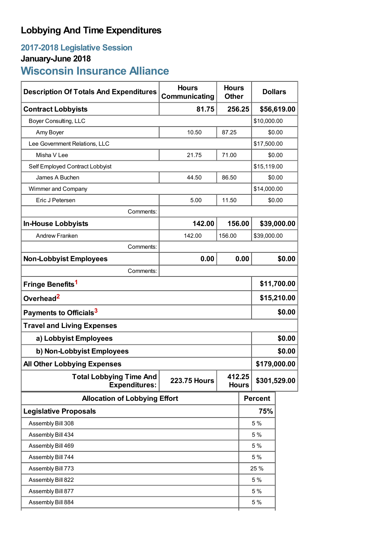# **Lobbying And Time Expenditures**

# **2017-2018 Legislative Session**

# **January-June 2018**

# **Wisconsin Insurance Alliance**

| <b>Description Of Totals And Expenditures</b>          | <b>Hours</b><br>Communicating | <b>Hours</b><br><b>Other</b> |                | <b>Dollars</b> |             |
|--------------------------------------------------------|-------------------------------|------------------------------|----------------|----------------|-------------|
| <b>Contract Lobbyists</b>                              | 81.75<br>256.25               |                              |                | \$56,619.00    |             |
| Boyer Consulting, LLC                                  |                               |                              | \$10,000.00    |                |             |
| Amy Boyer                                              | 10.50<br>87.25                |                              | \$0.00         |                |             |
| Lee Government Relations, LLC                          |                               |                              |                | \$17,500.00    |             |
| Misha V Lee                                            | 71.00<br>21.75                |                              | \$0.00         |                |             |
| Self Employed Contract Lobbyist                        |                               |                              | \$15,119.00    |                |             |
| James A Buchen                                         | 44.50<br>86.50                |                              | \$0.00         |                |             |
| Wimmer and Company                                     |                               |                              |                | \$14,000.00    |             |
| Eric J Petersen                                        | 11.50<br>5.00                 |                              |                | \$0.00         |             |
| Comments:                                              |                               |                              |                |                |             |
| <b>In-House Lobbyists</b>                              | 142.00                        | 156.00                       |                |                | \$39,000.00 |
| <b>Andrew Franken</b>                                  | 142.00                        | 156.00                       | \$39,000.00    |                |             |
| Comments:                                              |                               |                              |                |                |             |
| <b>Non-Lobbyist Employees</b>                          | 0.00                          |                              | 0.00           |                | \$0.00      |
| Comments:                                              |                               |                              |                |                |             |
| Fringe Benefits <sup>1</sup>                           |                               |                              |                | \$11,700.00    |             |
| Overhead <sup>2</sup>                                  |                               |                              |                | \$15,210.00    |             |
| Payments to Officials <sup>3</sup>                     |                               |                              |                | \$0.00         |             |
| <b>Travel and Living Expenses</b>                      |                               |                              |                |                |             |
| a) Lobbyist Employees                                  |                               |                              |                |                | \$0.00      |
| b) Non-Lobbyist Employees                              |                               |                              |                | \$0.00         |             |
| \$179,000.00<br><b>All Other Lobbying Expenses</b>     |                               |                              |                |                |             |
| <b>Total Lobbying Time And</b><br><b>Expenditures:</b> | <b>223.75 Hours</b>           | 412.25<br><b>Hours</b>       |                | \$301,529.00   |             |
| <b>Allocation of Lobbying Effort</b>                   |                               |                              | <b>Percent</b> |                |             |
| <b>Legislative Proposals</b>                           |                               |                              |                | 75%            |             |
| Assembly Bill 308                                      |                               |                              |                | 5 %            |             |
| Assembly Bill 434                                      |                               |                              |                | 5 %            |             |
| Assembly Bill 469                                      |                               |                              |                | 5 %            |             |
| Assembly Bill 744                                      |                               |                              |                | 5 %            |             |
| Assembly Bill 773                                      |                               |                              |                | 25 %           |             |
| Assembly Bill 822                                      |                               |                              |                | 5 %            |             |
| Assembly Bill 877                                      |                               |                              |                | 5 %            |             |
| Assembly Bill 884                                      |                               |                              |                | 5 %            |             |